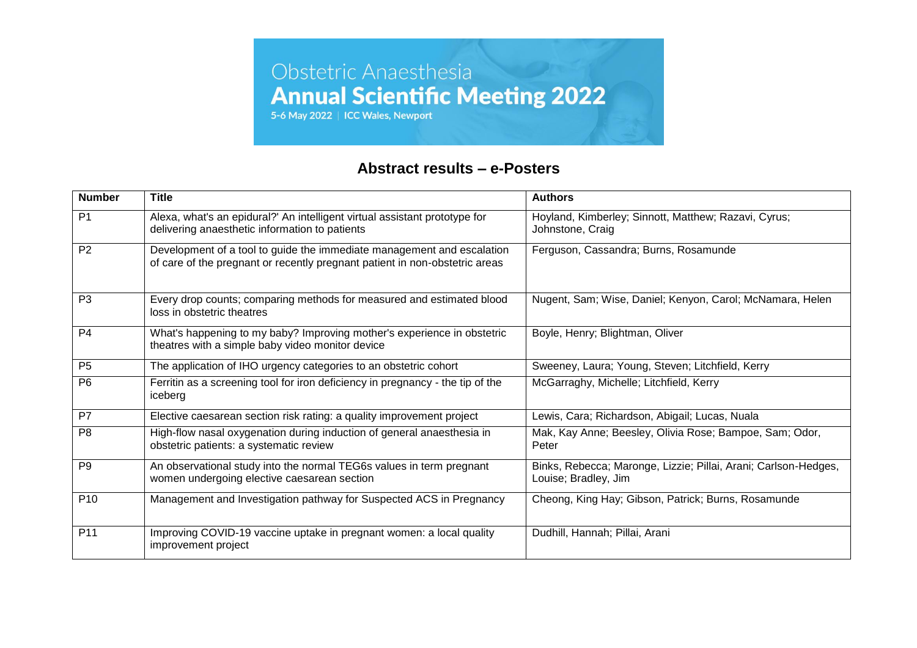

### **Abstract results – e-Posters**

| <b>Number</b>   | <b>Title</b>                                                                                                                                          | <b>Authors</b>                                                                          |
|-----------------|-------------------------------------------------------------------------------------------------------------------------------------------------------|-----------------------------------------------------------------------------------------|
| P <sub>1</sub>  | Alexa, what's an epidural?' An intelligent virtual assistant prototype for<br>delivering anaesthetic information to patients                          | Hoyland, Kimberley; Sinnott, Matthew; Razavi, Cyrus;<br>Johnstone, Craig                |
| P <sub>2</sub>  | Development of a tool to guide the immediate management and escalation<br>of care of the pregnant or recently pregnant patient in non-obstetric areas | Ferguson, Cassandra; Burns, Rosamunde                                                   |
| P <sub>3</sub>  | Every drop counts; comparing methods for measured and estimated blood<br>loss in obstetric theatres                                                   | Nugent, Sam; Wise, Daniel; Kenyon, Carol; McNamara, Helen                               |
| P <sub>4</sub>  | What's happening to my baby? Improving mother's experience in obstetric<br>theatres with a simple baby video monitor device                           | Boyle, Henry; Blightman, Oliver                                                         |
| P <sub>5</sub>  | The application of IHO urgency categories to an obstetric cohort                                                                                      | Sweeney, Laura; Young, Steven; Litchfield, Kerry                                        |
| P <sub>6</sub>  | Ferritin as a screening tool for iron deficiency in pregnancy - the tip of the<br>iceberg                                                             | McGarraghy, Michelle; Litchfield, Kerry                                                 |
| P <sub>7</sub>  | Elective caesarean section risk rating: a quality improvement project                                                                                 | Lewis, Cara; Richardson, Abigail; Lucas, Nuala                                          |
| P <sub>8</sub>  | High-flow nasal oxygenation during induction of general anaesthesia in<br>obstetric patients: a systematic review                                     | Mak, Kay Anne; Beesley, Olivia Rose; Bampoe, Sam; Odor,<br>Peter                        |
| P <sub>9</sub>  | An observational study into the normal TEG6s values in term pregnant<br>women undergoing elective caesarean section                                   | Binks, Rebecca; Maronge, Lizzie; Pillai, Arani; Carlson-Hedges,<br>Louise; Bradley, Jim |
| P <sub>10</sub> | Management and Investigation pathway for Suspected ACS in Pregnancy                                                                                   | Cheong, King Hay; Gibson, Patrick; Burns, Rosamunde                                     |
| P <sub>11</sub> | Improving COVID-19 vaccine uptake in pregnant women: a local quality<br>improvement project                                                           | Dudhill, Hannah; Pillai, Arani                                                          |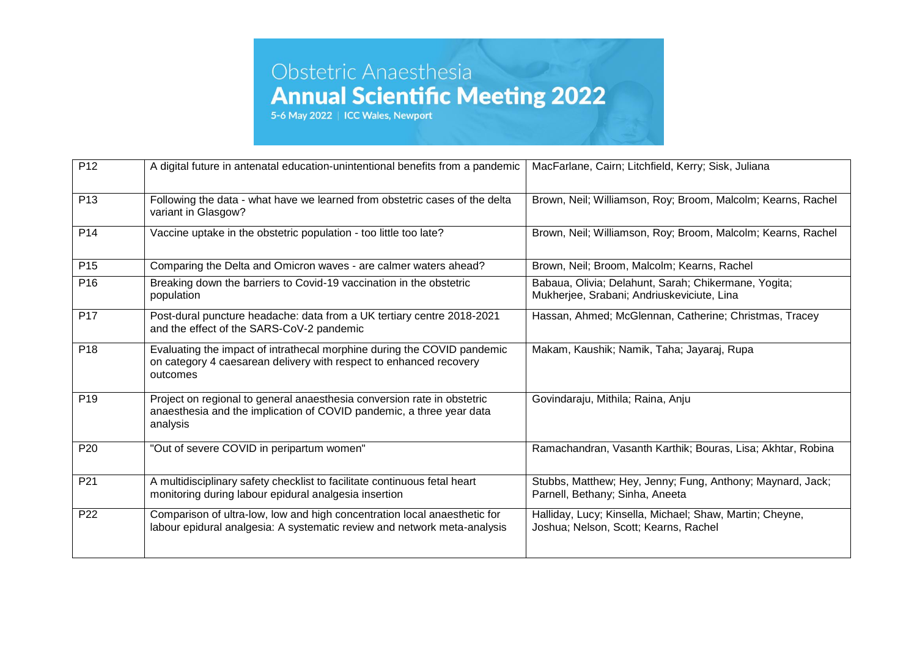| P <sub>12</sub> | A digital future in antenatal education-unintentional benefits from a pandemic                                                                              | MacFarlane, Cairn; Litchfield, Kerry; Sisk, Juliana                                                |
|-----------------|-------------------------------------------------------------------------------------------------------------------------------------------------------------|----------------------------------------------------------------------------------------------------|
| P <sub>13</sub> | Following the data - what have we learned from obstetric cases of the delta<br>variant in Glasgow?                                                          | Brown, Neil; Williamson, Roy; Broom, Malcolm; Kearns, Rachel                                       |
| P <sub>14</sub> | Vaccine uptake in the obstetric population - too little too late?                                                                                           | Brown, Neil; Williamson, Roy; Broom, Malcolm; Kearns, Rachel                                       |
| P <sub>15</sub> | Comparing the Delta and Omicron waves - are calmer waters ahead?                                                                                            | Brown, Neil; Broom, Malcolm; Kearns, Rachel                                                        |
| P <sub>16</sub> | Breaking down the barriers to Covid-19 vaccination in the obstetric<br>population                                                                           | Babaua, Olivia; Delahunt, Sarah; Chikermane, Yogita;<br>Mukherjee, Srabani; Andriuskeviciute, Lina |
| P <sub>17</sub> | Post-dural puncture headache: data from a UK tertiary centre 2018-2021<br>and the effect of the SARS-CoV-2 pandemic                                         | Hassan, Ahmed; McGlennan, Catherine; Christmas, Tracey                                             |
| P <sub>18</sub> | Evaluating the impact of intrathecal morphine during the COVID pandemic<br>on category 4 caesarean delivery with respect to enhanced recovery<br>outcomes   | Makam, Kaushik; Namik, Taha; Jayaraj, Rupa                                                         |
| P <sub>19</sub> | Project on regional to general anaesthesia conversion rate in obstetric<br>anaesthesia and the implication of COVID pandemic, a three year data<br>analysis | Govindaraju, Mithila; Raina, Anju                                                                  |
| P <sub>20</sub> | "Out of severe COVID in peripartum women"                                                                                                                   | Ramachandran, Vasanth Karthik; Bouras, Lisa; Akhtar, Robina                                        |
| P21             | A multidisciplinary safety checklist to facilitate continuous fetal heart<br>monitoring during labour epidural analgesia insertion                          | Stubbs, Matthew; Hey, Jenny; Fung, Anthony; Maynard, Jack;<br>Parnell, Bethany; Sinha, Aneeta      |
| P <sub>22</sub> | Comparison of ultra-low, low and high concentration local anaesthetic for<br>labour epidural analgesia: A systematic review and network meta-analysis       | Halliday, Lucy; Kinsella, Michael; Shaw, Martin; Cheyne,<br>Joshua; Nelson, Scott; Kearns, Rachel  |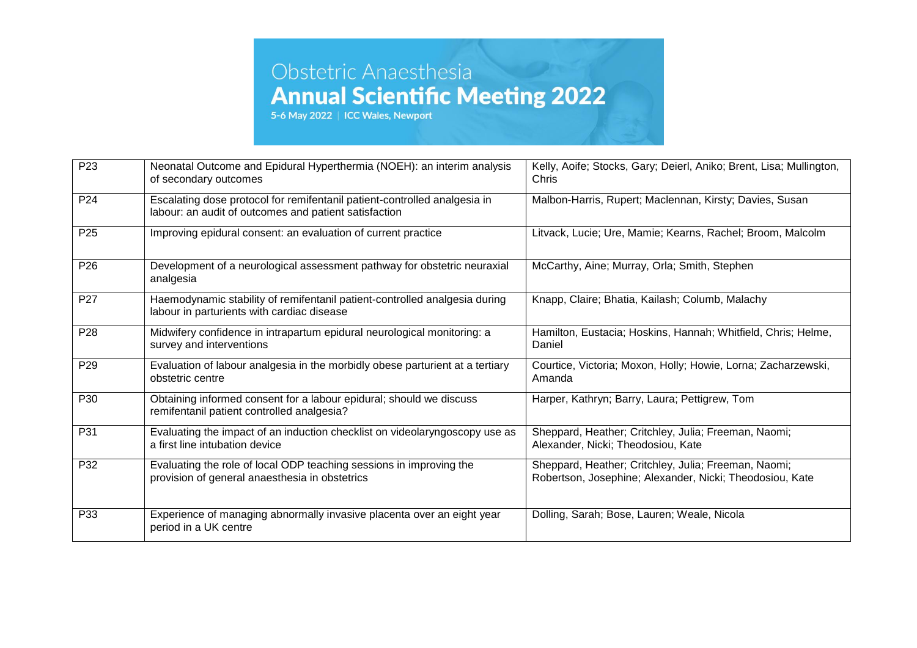| P <sub>23</sub> | Neonatal Outcome and Epidural Hyperthermia (NOEH): an interim analysis<br>of secondary outcomes                                    | Kelly, Aoife; Stocks, Gary; Deierl, Aniko; Brent, Lisa; Mullington,<br>Chris                                     |
|-----------------|------------------------------------------------------------------------------------------------------------------------------------|------------------------------------------------------------------------------------------------------------------|
| P <sub>24</sub> | Escalating dose protocol for remifentanil patient-controlled analgesia in<br>labour: an audit of outcomes and patient satisfaction | Malbon-Harris, Rupert; Maclennan, Kirsty; Davies, Susan                                                          |
| P <sub>25</sub> | Improving epidural consent: an evaluation of current practice                                                                      | Litvack, Lucie; Ure, Mamie; Kearns, Rachel; Broom, Malcolm                                                       |
| P <sub>26</sub> | Development of a neurological assessment pathway for obstetric neuraxial<br>analgesia                                              | McCarthy, Aine; Murray, Orla; Smith, Stephen                                                                     |
| P <sub>27</sub> | Haemodynamic stability of remifentanil patient-controlled analgesia during<br>labour in parturients with cardiac disease           | Knapp, Claire; Bhatia, Kailash; Columb, Malachy                                                                  |
| P <sub>28</sub> | Midwifery confidence in intrapartum epidural neurological monitoring: a<br>survey and interventions                                | Hamilton, Eustacia; Hoskins, Hannah; Whitfield, Chris; Helme,<br>Daniel                                          |
| P <sub>29</sub> | Evaluation of labour analgesia in the morbidly obese parturient at a tertiary<br>obstetric centre                                  | Courtice, Victoria; Moxon, Holly; Howie, Lorna; Zacharzewski,<br>Amanda                                          |
| P30             | Obtaining informed consent for a labour epidural; should we discuss<br>remifentanil patient controlled analgesia?                  | Harper, Kathryn; Barry, Laura; Pettigrew, Tom                                                                    |
| P31             | Evaluating the impact of an induction checklist on videolaryngoscopy use as<br>a first line intubation device                      | Sheppard, Heather; Critchley, Julia; Freeman, Naomi;<br>Alexander, Nicki; Theodosiou, Kate                       |
| P32             | Evaluating the role of local ODP teaching sessions in improving the<br>provision of general anaesthesia in obstetrics              | Sheppard, Heather; Critchley, Julia; Freeman, Naomi;<br>Robertson, Josephine; Alexander, Nicki; Theodosiou, Kate |
| P33             | Experience of managing abnormally invasive placenta over an eight year<br>period in a UK centre                                    | Dolling, Sarah; Bose, Lauren; Weale, Nicola                                                                      |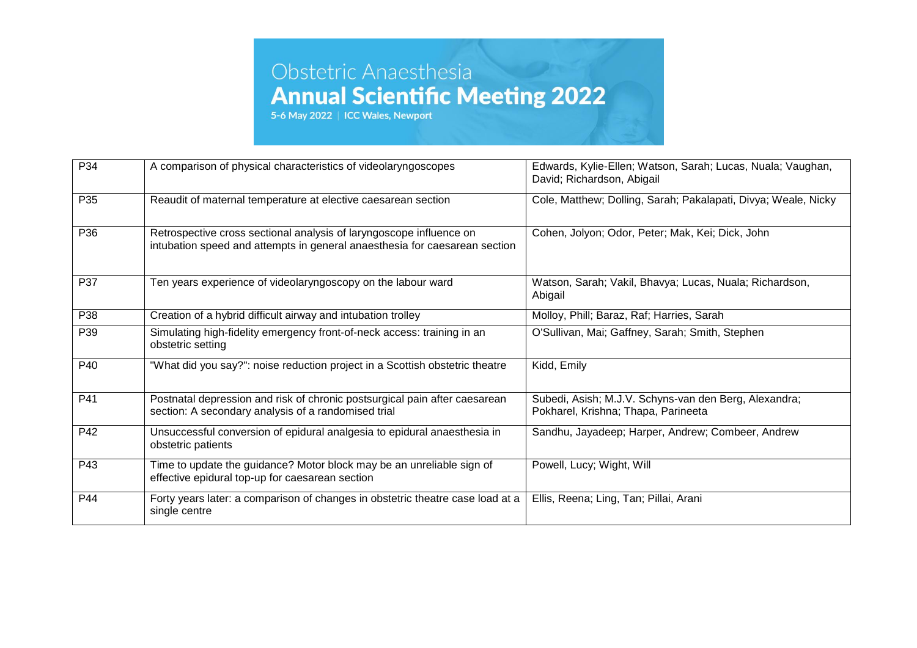| P34 | A comparison of physical characteristics of videolaryngoscopes                                                                                    | Edwards, Kylie-Ellen; Watson, Sarah; Lucas, Nuala; Vaughan,<br>David; Richardson, Abigail    |
|-----|---------------------------------------------------------------------------------------------------------------------------------------------------|----------------------------------------------------------------------------------------------|
| P35 | Reaudit of maternal temperature at elective caesarean section                                                                                     | Cole, Matthew; Dolling, Sarah; Pakalapati, Divya; Weale, Nicky                               |
| P36 | Retrospective cross sectional analysis of laryngoscope influence on<br>intubation speed and attempts in general anaesthesia for caesarean section | Cohen, Jolyon; Odor, Peter; Mak, Kei; Dick, John                                             |
| P37 | Ten years experience of videolaryngoscopy on the labour ward                                                                                      | Watson, Sarah; Vakil, Bhavya; Lucas, Nuala; Richardson,<br>Abigail                           |
| P38 | Creation of a hybrid difficult airway and intubation trolley                                                                                      | Molloy, Phill; Baraz, Raf; Harries, Sarah                                                    |
| P39 | Simulating high-fidelity emergency front-of-neck access: training in an<br>obstetric setting                                                      | O'Sullivan, Mai; Gaffney, Sarah; Smith, Stephen                                              |
| P40 | "What did you say?": noise reduction project in a Scottish obstetric theatre                                                                      | Kidd, Emily                                                                                  |
| P41 | Postnatal depression and risk of chronic postsurgical pain after caesarean<br>section: A secondary analysis of a randomised trial                 | Subedi, Asish; M.J.V. Schyns-van den Berg, Alexandra;<br>Pokharel, Krishna; Thapa, Parineeta |
| P42 | Unsuccessful conversion of epidural analgesia to epidural anaesthesia in<br>obstetric patients                                                    | Sandhu, Jayadeep; Harper, Andrew; Combeer, Andrew                                            |
| P43 | Time to update the guidance? Motor block may be an unreliable sign of<br>effective epidural top-up for caesarean section                          | Powell, Lucy; Wight, Will                                                                    |
| P44 | Forty years later: a comparison of changes in obstetric theatre case load at a<br>single centre                                                   | Ellis, Reena; Ling, Tan; Pillai, Arani                                                       |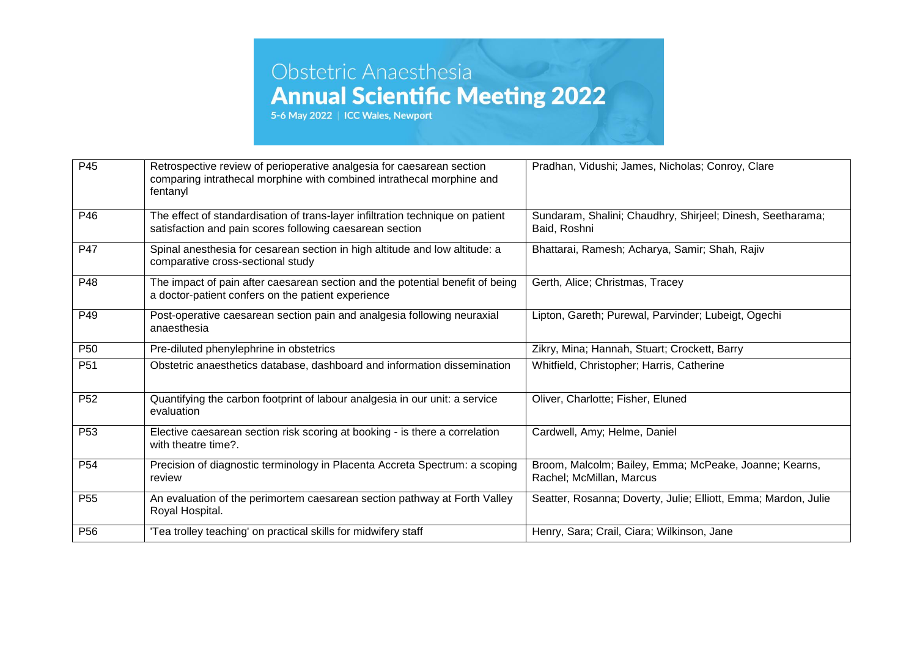| P45             | Retrospective review of perioperative analgesia for caesarean section<br>comparing intrathecal morphine with combined intrathecal morphine and<br>fentanyl | Pradhan, Vidushi; James, Nicholas; Conroy, Clare                                   |
|-----------------|------------------------------------------------------------------------------------------------------------------------------------------------------------|------------------------------------------------------------------------------------|
| P46             | The effect of standardisation of trans-layer infiltration technique on patient<br>satisfaction and pain scores following caesarean section                 | Sundaram, Shalini; Chaudhry, Shirjeel; Dinesh, Seetharama;<br>Baid, Roshni         |
| P47             | Spinal anesthesia for cesarean section in high altitude and low altitude: a<br>comparative cross-sectional study                                           | Bhattarai, Ramesh; Acharya, Samir; Shah, Rajiv                                     |
| P48             | The impact of pain after caesarean section and the potential benefit of being<br>a doctor-patient confers on the patient experience                        | Gerth, Alice; Christmas, Tracey                                                    |
| P49             | Post-operative caesarean section pain and analgesia following neuraxial<br>anaesthesia                                                                     | Lipton, Gareth; Purewal, Parvinder; Lubeigt, Ogechi                                |
| P <sub>50</sub> | Pre-diluted phenylephrine in obstetrics                                                                                                                    | Zikry, Mina; Hannah, Stuart; Crockett, Barry                                       |
| P <sub>51</sub> | Obstetric anaesthetics database, dashboard and information dissemination                                                                                   | Whitfield, Christopher; Harris, Catherine                                          |
| P <sub>52</sub> | Quantifying the carbon footprint of labour analgesia in our unit: a service<br>evaluation                                                                  | Oliver, Charlotte; Fisher, Eluned                                                  |
| P <sub>53</sub> | Elective caesarean section risk scoring at booking - is there a correlation<br>with theatre time?.                                                         | Cardwell, Amy; Helme, Daniel                                                       |
| P <sub>54</sub> | Precision of diagnostic terminology in Placenta Accreta Spectrum: a scoping<br>review                                                                      | Broom, Malcolm; Bailey, Emma; McPeake, Joanne; Kearns,<br>Rachel; McMillan, Marcus |
| P <sub>55</sub> | An evaluation of the perimortem caesarean section pathway at Forth Valley<br>Royal Hospital.                                                               | Seatter, Rosanna; Doverty, Julie; Elliott, Emma; Mardon, Julie                     |
| P <sub>56</sub> | 'Tea trolley teaching' on practical skills for midwifery staff                                                                                             | Henry, Sara; Crail, Ciara; Wilkinson, Jane                                         |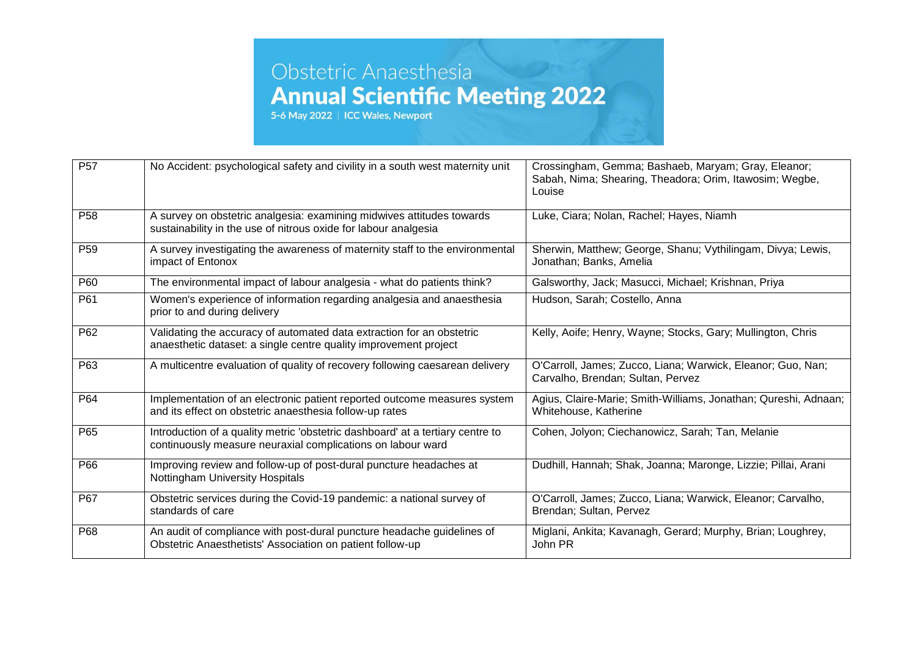| P <sub>57</sub> | No Accident: psychological safety and civility in a south west maternity unit                                                                 | Crossingham, Gemma; Bashaeb, Maryam; Gray, Eleanor;<br>Sabah, Nima; Shearing, Theadora; Orim, Itawosim; Wegbe,<br>Louise |
|-----------------|-----------------------------------------------------------------------------------------------------------------------------------------------|--------------------------------------------------------------------------------------------------------------------------|
| P <sub>58</sub> | A survey on obstetric analgesia: examining midwives attitudes towards<br>sustainability in the use of nitrous oxide for labour analgesia      | Luke, Ciara; Nolan, Rachel; Hayes, Niamh                                                                                 |
| P <sub>59</sub> | A survey investigating the awareness of maternity staff to the environmental<br>impact of Entonox                                             | Sherwin, Matthew; George, Shanu; Vythilingam, Divya; Lewis,<br>Jonathan; Banks, Amelia                                   |
| P60             | The environmental impact of labour analgesia - what do patients think?                                                                        | Galsworthy, Jack; Masucci, Michael; Krishnan, Priya                                                                      |
| P61             | Women's experience of information regarding analgesia and anaesthesia<br>prior to and during delivery                                         | Hudson, Sarah; Costello, Anna                                                                                            |
| P <sub>62</sub> | Validating the accuracy of automated data extraction for an obstetric<br>anaesthetic dataset: a single centre quality improvement project     | Kelly, Aoife; Henry, Wayne; Stocks, Gary; Mullington, Chris                                                              |
| P63             | A multicentre evaluation of quality of recovery following caesarean delivery                                                                  | O'Carroll, James; Zucco, Liana; Warwick, Eleanor; Guo, Nan;<br>Carvalho, Brendan; Sultan, Pervez                         |
| P64             | Implementation of an electronic patient reported outcome measures system<br>and its effect on obstetric anaesthesia follow-up rates           | Agius, Claire-Marie; Smith-Williams, Jonathan; Qureshi, Adnaan;<br>Whitehouse, Katherine                                 |
| P65             | Introduction of a quality metric 'obstetric dashboard' at a tertiary centre to<br>continuously measure neuraxial complications on labour ward | Cohen, Jolyon; Ciechanowicz, Sarah; Tan, Melanie                                                                         |
| P66             | Improving review and follow-up of post-dural puncture headaches at<br>Nottingham University Hospitals                                         | Dudhill, Hannah; Shak, Joanna; Maronge, Lizzie; Pillai, Arani                                                            |
| P67             | Obstetric services during the Covid-19 pandemic: a national survey of<br>standards of care                                                    | O'Carroll, James; Zucco, Liana; Warwick, Eleanor; Carvalho,<br>Brendan; Sultan, Pervez                                   |
| P68             | An audit of compliance with post-dural puncture headache guidelines of<br>Obstetric Anaesthetists' Association on patient follow-up           | Miglani, Ankita; Kavanagh, Gerard; Murphy, Brian; Loughrey,<br>John PR                                                   |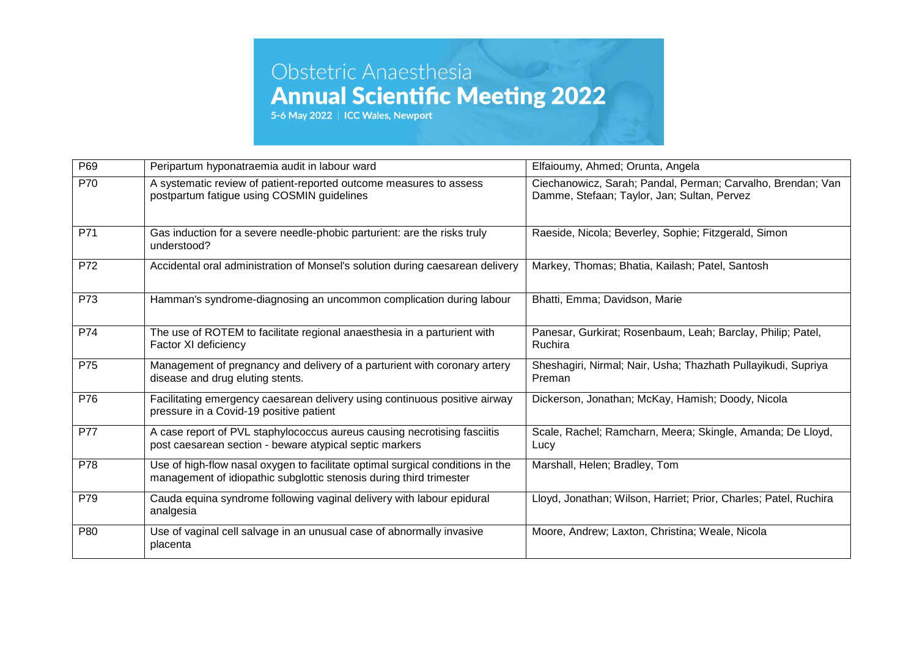| P69 | Peripartum hyponatraemia audit in labour ward                                                                                                         | Elfaioumy, Ahmed; Orunta, Angela                                                                           |
|-----|-------------------------------------------------------------------------------------------------------------------------------------------------------|------------------------------------------------------------------------------------------------------------|
| P70 | A systematic review of patient-reported outcome measures to assess<br>postpartum fatigue using COSMIN guidelines                                      | Ciechanowicz, Sarah; Pandal, Perman; Carvalho, Brendan; Van<br>Damme, Stefaan; Taylor, Jan; Sultan, Pervez |
| P71 | Gas induction for a severe needle-phobic parturient: are the risks truly<br>understood?                                                               | Raeside, Nicola; Beverley, Sophie; Fitzgerald, Simon                                                       |
| P72 | Accidental oral administration of Monsel's solution during caesarean delivery                                                                         | Markey, Thomas; Bhatia, Kailash; Patel, Santosh                                                            |
| P73 | Hamman's syndrome-diagnosing an uncommon complication during labour                                                                                   | Bhatti, Emma; Davidson, Marie                                                                              |
| P74 | The use of ROTEM to facilitate regional anaesthesia in a parturient with<br>Factor XI deficiency                                                      | Panesar, Gurkirat; Rosenbaum, Leah; Barclay, Philip; Patel,<br>Ruchira                                     |
| P75 | Management of pregnancy and delivery of a parturient with coronary artery<br>disease and drug eluting stents.                                         | Sheshagiri, Nirmal; Nair, Usha; Thazhath Pullayikudi, Supriya<br>Preman                                    |
| P76 | Facilitating emergency caesarean delivery using continuous positive airway<br>pressure in a Covid-19 positive patient                                 | Dickerson, Jonathan; McKay, Hamish; Doody, Nicola                                                          |
| P77 | A case report of PVL staphylococcus aureus causing necrotising fasciitis<br>post caesarean section - beware atypical septic markers                   | Scale, Rachel; Ramcharn, Meera; Skingle, Amanda; De Lloyd,<br>Lucy                                         |
| P78 | Use of high-flow nasal oxygen to facilitate optimal surgical conditions in the<br>management of idiopathic subglottic stenosis during third trimester | Marshall, Helen; Bradley, Tom                                                                              |
| P79 | Cauda equina syndrome following vaginal delivery with labour epidural<br>analgesia                                                                    | Lloyd, Jonathan; Wilson, Harriet; Prior, Charles; Patel, Ruchira                                           |
| P80 | Use of vaginal cell salvage in an unusual case of abnormally invasive<br>placenta                                                                     | Moore, Andrew; Laxton, Christina; Weale, Nicola                                                            |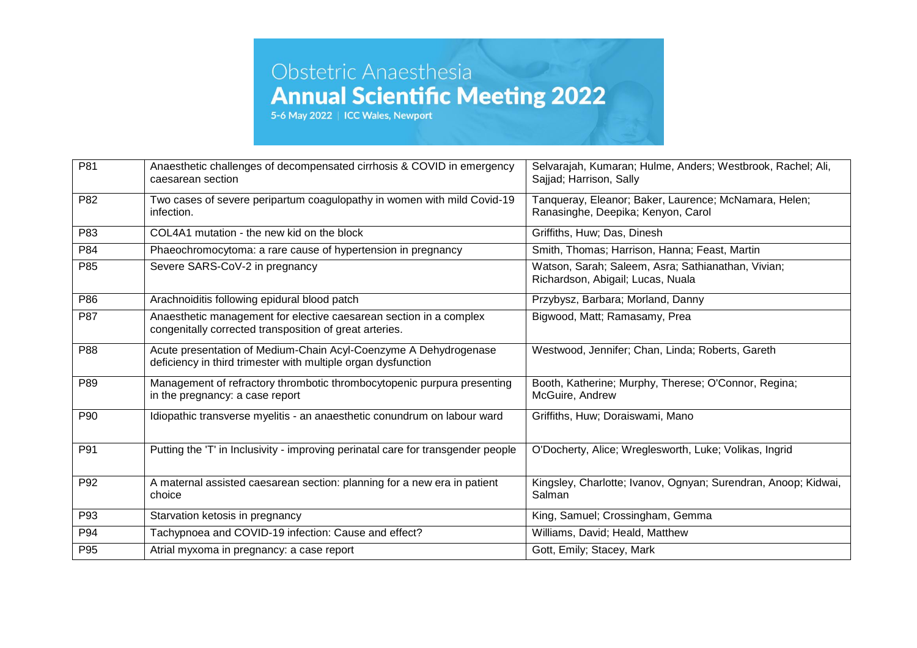| P81 | Anaesthetic challenges of decompensated cirrhosis & COVID in emergency<br>caesarean section                                       | Selvarajah, Kumaran; Hulme, Anders; Westbrook, Rachel; Ali,<br>Sajjad; Harrison, Sally      |
|-----|-----------------------------------------------------------------------------------------------------------------------------------|---------------------------------------------------------------------------------------------|
| P82 | Two cases of severe peripartum coagulopathy in women with mild Covid-19<br>infection.                                             | Tanqueray, Eleanor; Baker, Laurence; McNamara, Helen;<br>Ranasinghe, Deepika; Kenyon, Carol |
| P83 | COL4A1 mutation - the new kid on the block                                                                                        | Griffiths, Huw; Das, Dinesh                                                                 |
| P84 | Phaeochromocytoma: a rare cause of hypertension in pregnancy                                                                      | Smith, Thomas; Harrison, Hanna; Feast, Martin                                               |
| P85 | Severe SARS-CoV-2 in pregnancy                                                                                                    | Watson, Sarah; Saleem, Asra; Sathianathan, Vivian;<br>Richardson, Abigail; Lucas, Nuala     |
| P86 | Arachnoiditis following epidural blood patch                                                                                      | Przybysz, Barbara; Morland, Danny                                                           |
| P87 | Anaesthetic management for elective caesarean section in a complex<br>congenitally corrected transposition of great arteries.     | Bigwood, Matt; Ramasamy, Prea                                                               |
| P88 | Acute presentation of Medium-Chain Acyl-Coenzyme A Dehydrogenase<br>deficiency in third trimester with multiple organ dysfunction | Westwood, Jennifer; Chan, Linda; Roberts, Gareth                                            |
| P89 | Management of refractory thrombotic thrombocytopenic purpura presenting<br>in the pregnancy: a case report                        | Booth, Katherine; Murphy, Therese; O'Connor, Regina;<br>McGuire, Andrew                     |
| P90 | Idiopathic transverse myelitis - an anaesthetic conundrum on labour ward                                                          | Griffiths, Huw; Doraiswami, Mano                                                            |
| P91 | Putting the 'T' in Inclusivity - improving perinatal care for transgender people                                                  | O'Docherty, Alice; Wreglesworth, Luke; Volikas, Ingrid                                      |
| P92 | A maternal assisted caesarean section: planning for a new era in patient<br>choice                                                | Kingsley, Charlotte; Ivanov, Ognyan; Surendran, Anoop; Kidwai,<br>Salman                    |
| P93 | Starvation ketosis in pregnancy                                                                                                   | King, Samuel; Crossingham, Gemma                                                            |
| P94 | Tachypnoea and COVID-19 infection: Cause and effect?                                                                              | Williams, David; Heald, Matthew                                                             |
| P95 | Atrial myxoma in pregnancy: a case report                                                                                         | Gott, Emily; Stacey, Mark                                                                   |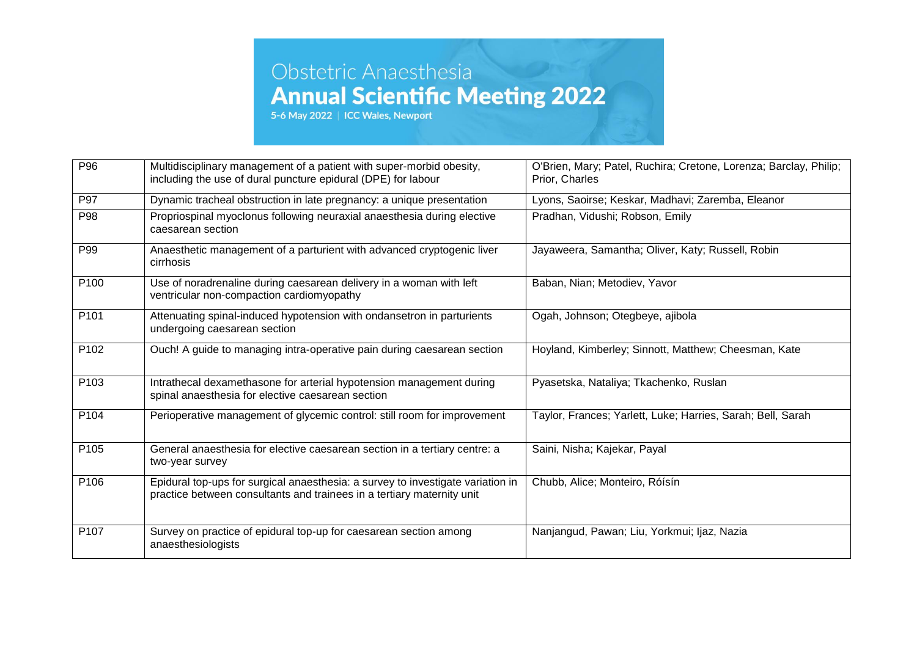| P96              | Multidisciplinary management of a patient with super-morbid obesity,                                                                                      | O'Brien, Mary; Patel, Ruchira; Cretone, Lorenza; Barclay, Philip; |
|------------------|-----------------------------------------------------------------------------------------------------------------------------------------------------------|-------------------------------------------------------------------|
|                  | including the use of dural puncture epidural (DPE) for labour                                                                                             | Prior, Charles                                                    |
| P97              | Dynamic tracheal obstruction in late pregnancy: a unique presentation                                                                                     | Lyons, Saoirse; Keskar, Madhavi; Zaremba, Eleanor                 |
| P98              | Propriospinal myoclonus following neuraxial anaesthesia during elective<br>caesarean section                                                              | Pradhan, Vidushi; Robson, Emily                                   |
| P99              | Anaesthetic management of a parturient with advanced cryptogenic liver<br>cirrhosis                                                                       | Jayaweera, Samantha; Oliver, Katy; Russell, Robin                 |
| P100             | Use of noradrenaline during caesarean delivery in a woman with left<br>ventricular non-compaction cardiomyopathy                                          | Baban, Nian; Metodiev, Yavor                                      |
| P <sub>101</sub> | Attenuating spinal-induced hypotension with ondansetron in parturients<br>undergoing caesarean section                                                    | Ogah, Johnson; Otegbeye, ajibola                                  |
| P102             | Ouch! A guide to managing intra-operative pain during caesarean section                                                                                   | Hoyland, Kimberley; Sinnott, Matthew; Cheesman, Kate              |
| P <sub>103</sub> | Intrathecal dexamethasone for arterial hypotension management during<br>spinal anaesthesia for elective caesarean section                                 | Pyasetska, Nataliya; Tkachenko, Ruslan                            |
| P104             | Perioperative management of glycemic control: still room for improvement                                                                                  | Taylor, Frances; Yarlett, Luke; Harries, Sarah; Bell, Sarah       |
| P <sub>105</sub> | General anaesthesia for elective caesarean section in a tertiary centre: a<br>two-year survey                                                             | Saini, Nisha; Kajekar, Payal                                      |
| P106             | Epidural top-ups for surgical anaesthesia: a survey to investigate variation in<br>practice between consultants and trainees in a tertiary maternity unit | Chubb, Alice; Monteiro, Róísín                                    |
| P107             | Survey on practice of epidural top-up for caesarean section among<br>anaesthesiologists                                                                   | Nanjangud, Pawan; Liu, Yorkmui; Ijaz, Nazia                       |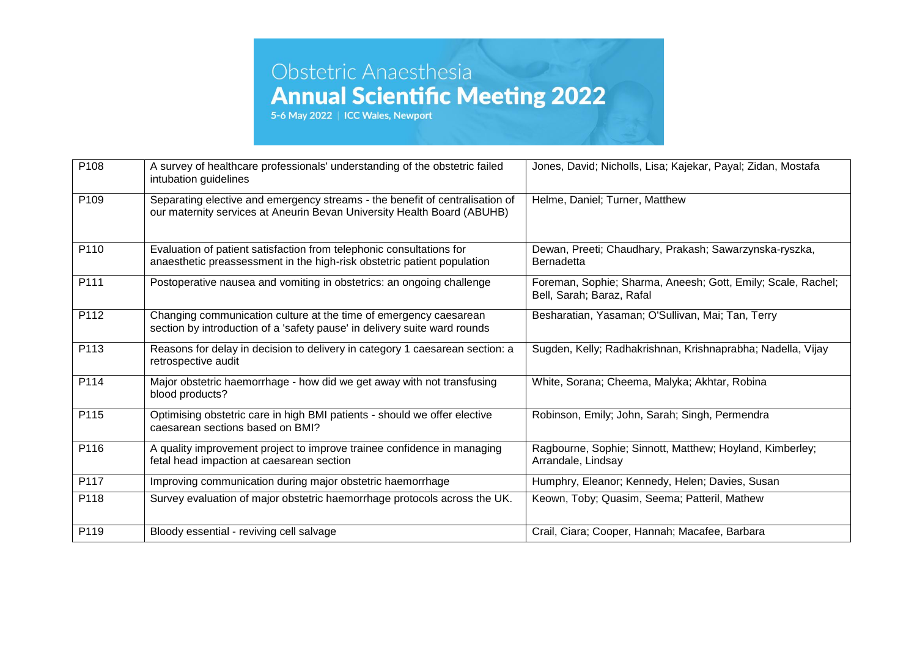| P108 | A survey of healthcare professionals' understanding of the obstetric failed<br>intubation guidelines                                                    | Jones, David; Nicholls, Lisa; Kajekar, Payal; Zidan, Mostafa                              |
|------|---------------------------------------------------------------------------------------------------------------------------------------------------------|-------------------------------------------------------------------------------------------|
| P109 | Separating elective and emergency streams - the benefit of centralisation of<br>our maternity services at Aneurin Bevan University Health Board (ABUHB) | Helme, Daniel; Turner, Matthew                                                            |
| P110 | Evaluation of patient satisfaction from telephonic consultations for<br>anaesthetic preassessment in the high-risk obstetric patient population         | Dewan, Preeti; Chaudhary, Prakash; Sawarzynska-ryszka,<br><b>Bernadetta</b>               |
| P111 | Postoperative nausea and vomiting in obstetrics: an ongoing challenge                                                                                   | Foreman, Sophie; Sharma, Aneesh; Gott, Emily; Scale, Rachel;<br>Bell, Sarah; Baraz, Rafal |
| P112 | Changing communication culture at the time of emergency caesarean<br>section by introduction of a 'safety pause' in delivery suite ward rounds          | Besharatian, Yasaman; O'Sullivan, Mai; Tan, Terry                                         |
| P113 | Reasons for delay in decision to delivery in category 1 caesarean section: a<br>retrospective audit                                                     | Sugden, Kelly; Radhakrishnan, Krishnaprabha; Nadella, Vijay                               |
| P114 | Major obstetric haemorrhage - how did we get away with not transfusing<br>blood products?                                                               | White, Sorana; Cheema, Malyka; Akhtar, Robina                                             |
| P115 | Optimising obstetric care in high BMI patients - should we offer elective<br>caesarean sections based on BMI?                                           | Robinson, Emily; John, Sarah; Singh, Permendra                                            |
| P116 | A quality improvement project to improve trainee confidence in managing<br>fetal head impaction at caesarean section                                    | Ragbourne, Sophie; Sinnott, Matthew; Hoyland, Kimberley;<br>Arrandale, Lindsay            |
| P117 | Improving communication during major obstetric haemorrhage                                                                                              | Humphry, Eleanor; Kennedy, Helen; Davies, Susan                                           |
| P118 | Survey evaluation of major obstetric haemorrhage protocols across the UK.                                                                               | Keown, Toby; Quasim, Seema; Patteril, Mathew                                              |
| P119 | Bloody essential - reviving cell salvage                                                                                                                | Crail, Ciara; Cooper, Hannah; Macafee, Barbara                                            |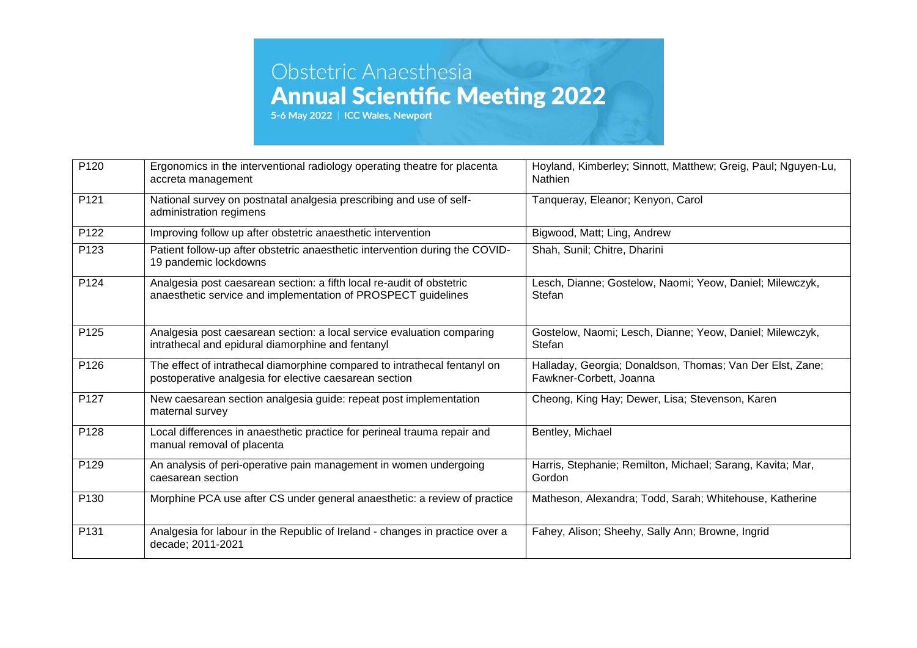| P120 | Ergonomics in the interventional radiology operating theatre for placenta<br>accreta management                                        | Hoyland, Kimberley; Sinnott, Matthew; Greig, Paul; Nguyen-Lu,<br><b>Nathien</b>      |
|------|----------------------------------------------------------------------------------------------------------------------------------------|--------------------------------------------------------------------------------------|
| P121 | National survey on postnatal analgesia prescribing and use of self-<br>administration regimens                                         | Tanqueray, Eleanor; Kenyon, Carol                                                    |
| P122 | Improving follow up after obstetric anaesthetic intervention                                                                           | Bigwood, Matt; Ling, Andrew                                                          |
| P123 | Patient follow-up after obstetric anaesthetic intervention during the COVID-<br>19 pandemic lockdowns                                  | Shah, Sunil; Chitre, Dharini                                                         |
| P124 | Analgesia post caesarean section: a fifth local re-audit of obstetric<br>anaesthetic service and implementation of PROSPECT guidelines | Lesch, Dianne; Gostelow, Naomi; Yeow, Daniel; Milewczyk,<br>Stefan                   |
| P125 | Analgesia post caesarean section: a local service evaluation comparing<br>intrathecal and epidural diamorphine and fentanyl            | Gostelow, Naomi; Lesch, Dianne; Yeow, Daniel; Milewczyk,<br>Stefan                   |
| P126 | The effect of intrathecal diamorphine compared to intrathecal fentanyl on<br>postoperative analgesia for elective caesarean section    | Halladay, Georgia; Donaldson, Thomas; Van Der Elst, Zane;<br>Fawkner-Corbett, Joanna |
| P127 | New caesarean section analgesia guide: repeat post implementation<br>maternal survey                                                   | Cheong, King Hay; Dewer, Lisa; Stevenson, Karen                                      |
| P128 | Local differences in anaesthetic practice for perineal trauma repair and<br>manual removal of placenta                                 | Bentley, Michael                                                                     |
| P129 | An analysis of peri-operative pain management in women undergoing<br>caesarean section                                                 | Harris, Stephanie; Remilton, Michael; Sarang, Kavita; Mar,<br>Gordon                 |
| P130 | Morphine PCA use after CS under general anaesthetic: a review of practice                                                              | Matheson, Alexandra; Todd, Sarah; Whitehouse, Katherine                              |
| P131 | Analgesia for labour in the Republic of Ireland - changes in practice over a<br>decade; 2011-2021                                      | Fahey, Alison; Sheehy, Sally Ann; Browne, Ingrid                                     |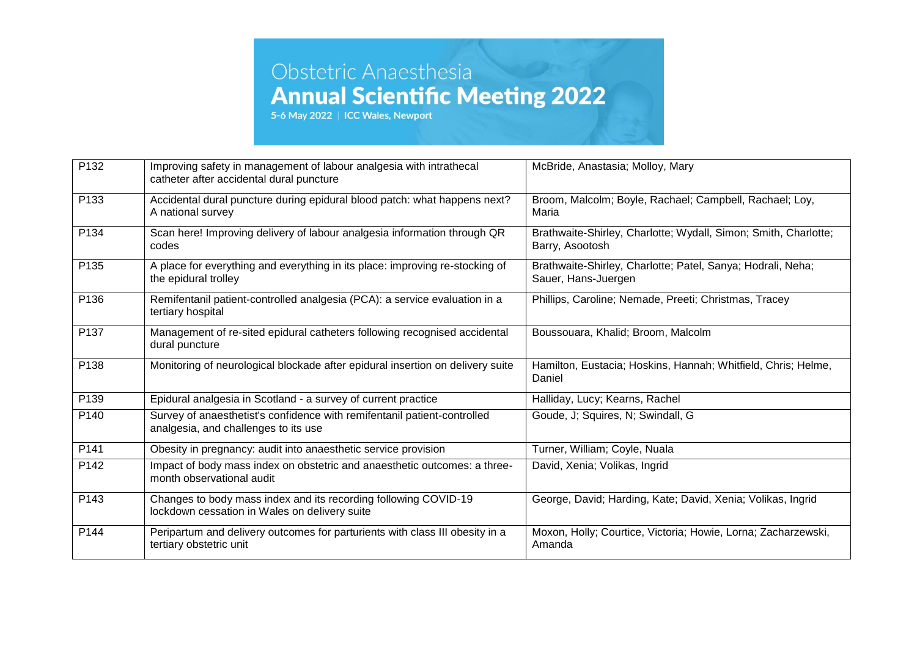| P132             | Improving safety in management of labour analgesia with intrathecal<br>catheter after accidental dural puncture  | McBride, Anastasia; Molloy, Mary                                                   |
|------------------|------------------------------------------------------------------------------------------------------------------|------------------------------------------------------------------------------------|
| P133             | Accidental dural puncture during epidural blood patch: what happens next?<br>A national survey                   | Broom, Malcolm; Boyle, Rachael; Campbell, Rachael; Loy,<br>Maria                   |
| P134             | Scan here! Improving delivery of labour analgesia information through QR<br>codes                                | Brathwaite-Shirley, Charlotte; Wydall, Simon; Smith, Charlotte;<br>Barry, Asootosh |
| P135             | A place for everything and everything in its place: improving re-stocking of<br>the epidural trolley             | Brathwaite-Shirley, Charlotte; Patel, Sanya; Hodrali, Neha;<br>Sauer, Hans-Juergen |
| P136             | Remifentanil patient-controlled analgesia (PCA): a service evaluation in a<br>tertiary hospital                  | Phillips, Caroline; Nemade, Preeti; Christmas, Tracey                              |
| P137             | Management of re-sited epidural catheters following recognised accidental<br>dural puncture                      | Boussouara, Khalid; Broom, Malcolm                                                 |
| P138             | Monitoring of neurological blockade after epidural insertion on delivery suite                                   | Hamilton, Eustacia; Hoskins, Hannah; Whitfield, Chris; Helme,<br>Daniel            |
| P139             | Epidural analgesia in Scotland - a survey of current practice                                                    | Halliday, Lucy; Kearns, Rachel                                                     |
| P140             | Survey of anaesthetist's confidence with remifentanil patient-controlled<br>analgesia, and challenges to its use | Goude, J; Squires, N; Swindall, G                                                  |
| P <sub>141</sub> | Obesity in pregnancy: audit into anaesthetic service provision                                                   | Turner, William; Coyle, Nuala                                                      |
| P142             | Impact of body mass index on obstetric and anaesthetic outcomes: a three-<br>month observational audit           | David, Xenia; Volikas, Ingrid                                                      |
| P143             | Changes to body mass index and its recording following COVID-19<br>lockdown cessation in Wales on delivery suite | George, David; Harding, Kate; David, Xenia; Volikas, Ingrid                        |
| P144             | Peripartum and delivery outcomes for parturients with class III obesity in a<br>tertiary obstetric unit          | Moxon, Holly; Courtice, Victoria; Howie, Lorna; Zacharzewski,<br>Amanda            |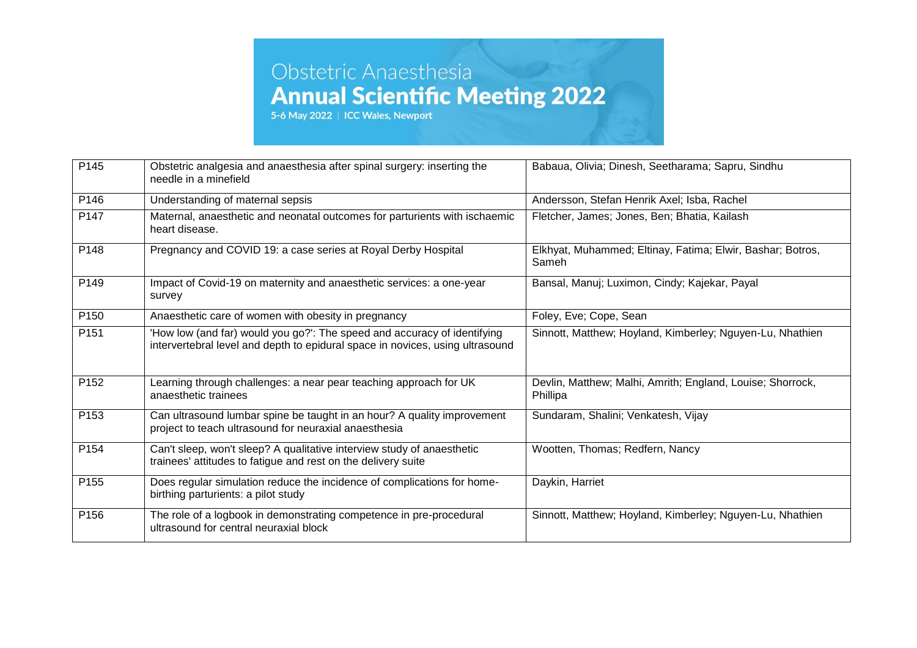| P145             | Obstetric analgesia and anaesthesia after spinal surgery: inserting the<br>needle in a minefield                                                          | Babaua, Olivia; Dinesh, Seetharama; Sapru, Sindhu                      |
|------------------|-----------------------------------------------------------------------------------------------------------------------------------------------------------|------------------------------------------------------------------------|
| P146             | Understanding of maternal sepsis                                                                                                                          | Andersson, Stefan Henrik Axel; Isba, Rachel                            |
| P <sub>147</sub> | Maternal, anaesthetic and neonatal outcomes for parturients with ischaemic<br>heart disease.                                                              | Fletcher, James; Jones, Ben; Bhatia, Kailash                           |
| P148             | Pregnancy and COVID 19: a case series at Royal Derby Hospital                                                                                             | Elkhyat, Muhammed; Eltinay, Fatima; Elwir, Bashar; Botros,<br>Sameh    |
| P149             | Impact of Covid-19 on maternity and anaesthetic services: a one-year<br>survey                                                                            | Bansal, Manuj; Luximon, Cindy; Kajekar, Payal                          |
| P <sub>150</sub> | Anaesthetic care of women with obesity in pregnancy                                                                                                       | Foley, Eve; Cope, Sean                                                 |
| P <sub>151</sub> | 'How low (and far) would you go?': The speed and accuracy of identifying<br>intervertebral level and depth to epidural space in novices, using ultrasound | Sinnott, Matthew; Hoyland, Kimberley; Nguyen-Lu, Nhathien              |
| P152             | Learning through challenges: a near pear teaching approach for UK<br>anaesthetic trainees                                                                 | Devlin, Matthew; Malhi, Amrith; England, Louise; Shorrock,<br>Phillipa |
| P153             | Can ultrasound lumbar spine be taught in an hour? A quality improvement<br>project to teach ultrasound for neuraxial anaesthesia                          | Sundaram, Shalini; Venkatesh, Vijay                                    |
| P154             | Can't sleep, won't sleep? A qualitative interview study of anaesthetic<br>trainees' attitudes to fatigue and rest on the delivery suite                   | Wootten, Thomas; Redfern, Nancy                                        |
| P155             | Does regular simulation reduce the incidence of complications for home-<br>birthing parturients: a pilot study                                            | Daykin, Harriet                                                        |
| P156             | The role of a logbook in demonstrating competence in pre-procedural<br>ultrasound for central neuraxial block                                             | Sinnott, Matthew; Hoyland, Kimberley; Nguyen-Lu, Nhathien              |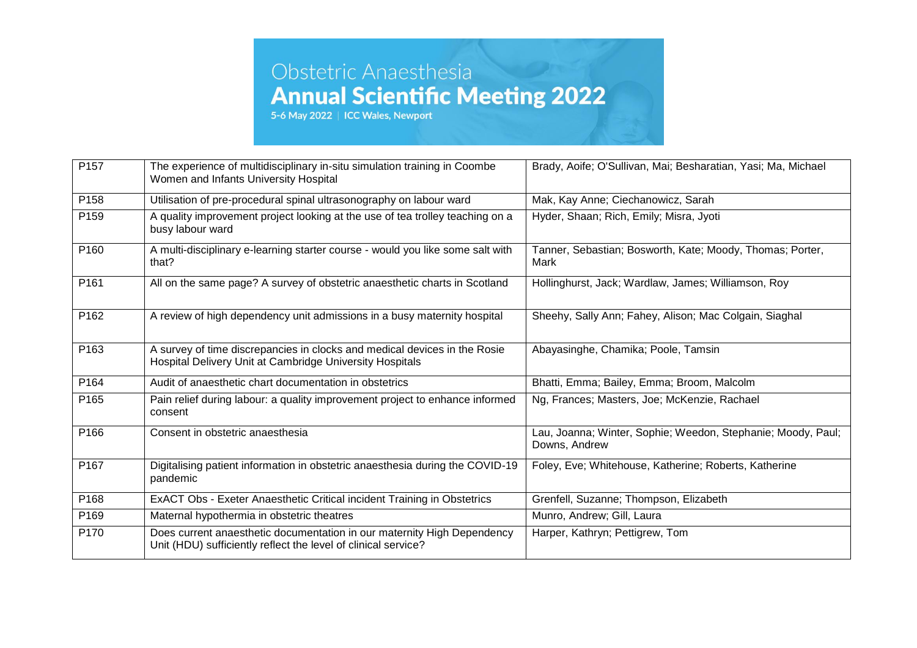| P157             | The experience of multidisciplinary in-situ simulation training in Coombe<br>Women and Infants University Hospital                        | Brady, Aoife; O'Sullivan, Mai; Besharatian, Yasi; Ma, Michael                 |
|------------------|-------------------------------------------------------------------------------------------------------------------------------------------|-------------------------------------------------------------------------------|
| P <sub>158</sub> | Utilisation of pre-procedural spinal ultrasonography on labour ward                                                                       | Mak, Kay Anne; Ciechanowicz, Sarah                                            |
| P159             | A quality improvement project looking at the use of tea trolley teaching on a<br>busy labour ward                                         | Hyder, Shaan; Rich, Emily; Misra, Jyoti                                       |
| P160             | A multi-disciplinary e-learning starter course - would you like some salt with<br>that?                                                   | Tanner, Sebastian; Bosworth, Kate; Moody, Thomas; Porter,<br>Mark             |
| P <sub>161</sub> | All on the same page? A survey of obstetric anaesthetic charts in Scotland                                                                | Hollinghurst, Jack; Wardlaw, James; Williamson, Roy                           |
| P162             | A review of high dependency unit admissions in a busy maternity hospital                                                                  | Sheehy, Sally Ann; Fahey, Alison; Mac Colgain, Siaghal                        |
| P163             | A survey of time discrepancies in clocks and medical devices in the Rosie<br>Hospital Delivery Unit at Cambridge University Hospitals     | Abayasinghe, Chamika; Poole, Tamsin                                           |
| P <sub>164</sub> | Audit of anaesthetic chart documentation in obstetrics                                                                                    | Bhatti, Emma; Bailey, Emma; Broom, Malcolm                                    |
| P165             | Pain relief during labour: a quality improvement project to enhance informed<br>consent                                                   | Ng, Frances; Masters, Joe; McKenzie, Rachael                                  |
| P166             | Consent in obstetric anaesthesia                                                                                                          | Lau, Joanna; Winter, Sophie; Weedon, Stephanie; Moody, Paul;<br>Downs, Andrew |
| P167             | Digitalising patient information in obstetric anaesthesia during the COVID-19<br>pandemic                                                 | Foley, Eve; Whitehouse, Katherine; Roberts, Katherine                         |
| P <sub>168</sub> | ExACT Obs - Exeter Anaesthetic Critical incident Training in Obstetrics                                                                   | Grenfell, Suzanne; Thompson, Elizabeth                                        |
| P169             | Maternal hypothermia in obstetric theatres                                                                                                | Munro, Andrew; Gill, Laura                                                    |
| P170             | Does current anaesthetic documentation in our maternity High Dependency<br>Unit (HDU) sufficiently reflect the level of clinical service? | Harper, Kathryn; Pettigrew, Tom                                               |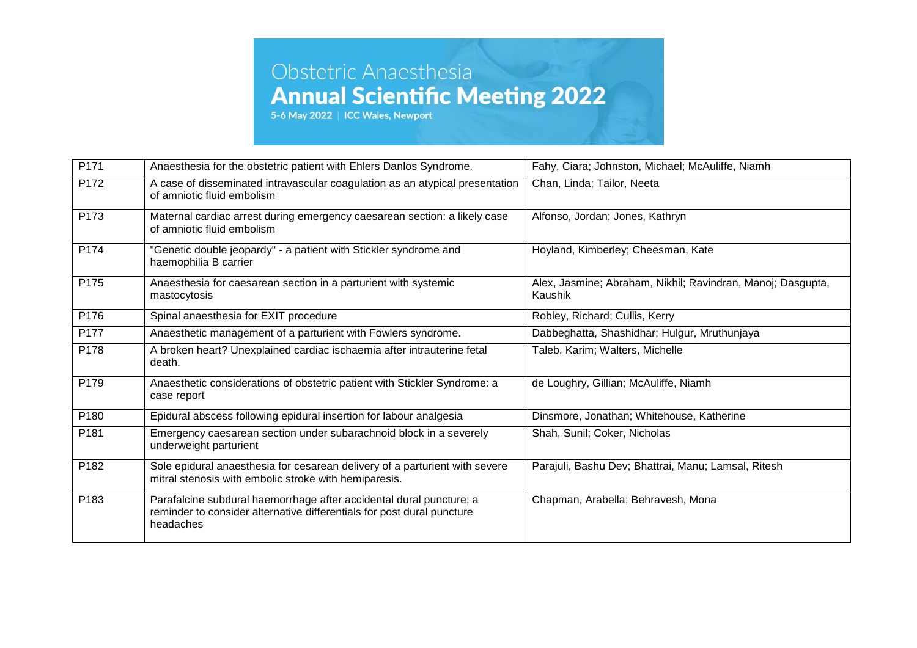| P171             | Anaesthesia for the obstetric patient with Ehlers Danlos Syndrome.                                                                                         | Fahy, Ciara; Johnston, Michael; McAuliffe, Niamh                       |
|------------------|------------------------------------------------------------------------------------------------------------------------------------------------------------|------------------------------------------------------------------------|
| P172             | A case of disseminated intravascular coagulation as an atypical presentation<br>of amniotic fluid embolism                                                 | Chan, Linda; Tailor, Neeta                                             |
| P173             | Maternal cardiac arrest during emergency caesarean section: a likely case<br>of amniotic fluid embolism                                                    | Alfonso, Jordan; Jones, Kathryn                                        |
| P174             | "Genetic double jeopardy" - a patient with Stickler syndrome and<br>haemophilia B carrier                                                                  | Hoyland, Kimberley; Cheesman, Kate                                     |
| P175             | Anaesthesia for caesarean section in a parturient with systemic<br>mastocytosis                                                                            | Alex, Jasmine; Abraham, Nikhil; Ravindran, Manoj; Dasgupta,<br>Kaushik |
| P176             | Spinal anaesthesia for EXIT procedure                                                                                                                      | Robley, Richard; Cullis, Kerry                                         |
| P177             | Anaesthetic management of a parturient with Fowlers syndrome.                                                                                              | Dabbeghatta, Shashidhar; Hulgur, Mruthunjaya                           |
| P178             | A broken heart? Unexplained cardiac ischaemia after intrauterine fetal<br>death.                                                                           | Taleb, Karim; Walters, Michelle                                        |
| P179             | Anaesthetic considerations of obstetric patient with Stickler Syndrome: a<br>case report                                                                   | de Loughry, Gillian; McAuliffe, Niamh                                  |
| P <sub>180</sub> | Epidural abscess following epidural insertion for labour analgesia                                                                                         | Dinsmore, Jonathan; Whitehouse, Katherine                              |
| P181             | Emergency caesarean section under subarachnoid block in a severely<br>underweight parturient                                                               | Shah, Sunil; Coker, Nicholas                                           |
| P182             | Sole epidural anaesthesia for cesarean delivery of a parturient with severe<br>mitral stenosis with embolic stroke with hemiparesis.                       | Parajuli, Bashu Dev; Bhattrai, Manu; Lamsal, Ritesh                    |
| P183             | Parafalcine subdural haemorrhage after accidental dural puncture; a<br>reminder to consider alternative differentials for post dural puncture<br>headaches | Chapman, Arabella; Behravesh, Mona                                     |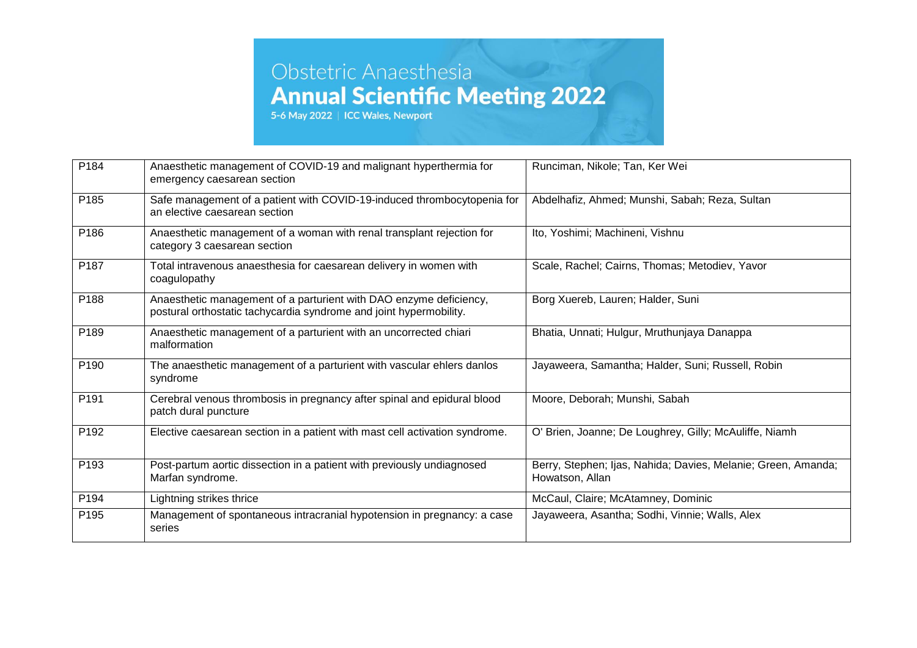| P184             | Anaesthetic management of COVID-19 and malignant hyperthermia for<br>emergency caesarean section                                         | Runciman, Nikole; Tan, Ker Wei                                                   |
|------------------|------------------------------------------------------------------------------------------------------------------------------------------|----------------------------------------------------------------------------------|
| P185             | Safe management of a patient with COVID-19-induced thrombocytopenia for<br>an elective caesarean section                                 | Abdelhafiz, Ahmed; Munshi, Sabah; Reza, Sultan                                   |
| P186             | Anaesthetic management of a woman with renal transplant rejection for<br>category 3 caesarean section                                    | Ito, Yoshimi; Machineni, Vishnu                                                  |
| P187             | Total intravenous anaesthesia for caesarean delivery in women with<br>coagulopathy                                                       | Scale, Rachel; Cairns, Thomas; Metodiev, Yavor                                   |
| P188             | Anaesthetic management of a parturient with DAO enzyme deficiency,<br>postural orthostatic tachycardia syndrome and joint hypermobility. | Borg Xuereb, Lauren; Halder, Suni                                                |
| P189             | Anaesthetic management of a parturient with an uncorrected chiari<br>malformation                                                        | Bhatia, Unnati; Hulgur, Mruthunjaya Danappa                                      |
| P <sub>190</sub> | The anaesthetic management of a parturient with vascular ehlers danlos<br>syndrome                                                       | Jayaweera, Samantha; Halder, Suni; Russell, Robin                                |
| P191             | Cerebral venous thrombosis in pregnancy after spinal and epidural blood<br>patch dural puncture                                          | Moore, Deborah; Munshi, Sabah                                                    |
| P192             | Elective caesarean section in a patient with mast cell activation syndrome.                                                              | O' Brien, Joanne; De Loughrey, Gilly; McAuliffe, Niamh                           |
| P193             | Post-partum aortic dissection in a patient with previously undiagnosed<br>Marfan syndrome.                                               | Berry, Stephen; Ijas, Nahida; Davies, Melanie; Green, Amanda;<br>Howatson, Allan |
| P194             | Lightning strikes thrice                                                                                                                 | McCaul, Claire; McAtamney, Dominic                                               |
| P195             | Management of spontaneous intracranial hypotension in pregnancy: a case<br>series                                                        | Jayaweera, Asantha; Sodhi, Vinnie; Walls, Alex                                   |